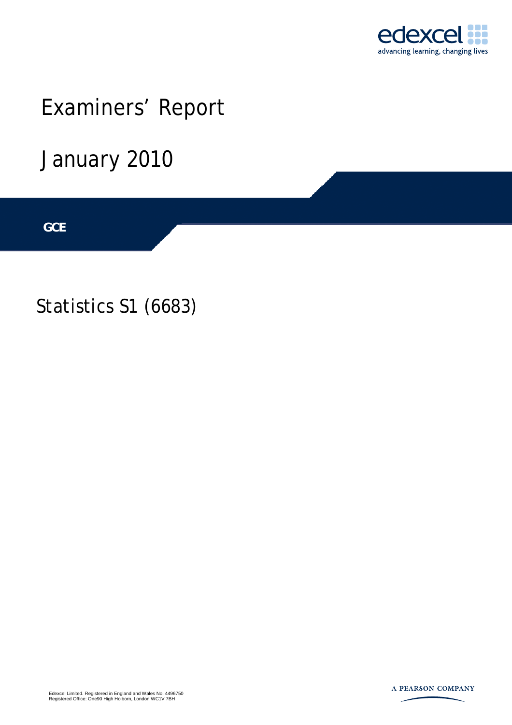

# Examiners' Report

January 2010

**IGCSE GCE** 

Statistics S1 (6683)

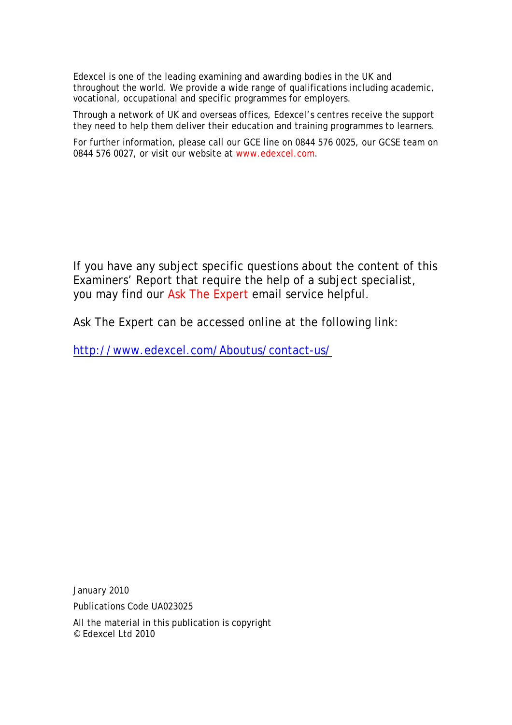Edexcel is one of the leading examining and awarding bodies in the UK and throughout the world. We provide a wide range of qualifications including academic, vocational, occupational and specific programmes for employers.

Through a network of UK and overseas offices, Edexcel's centres receive the support they need to help them deliver their education and training programmes to learners.

For further information, please call our GCE line on 0844 576 0025, our GCSE team on 0844 576 0027, or visit our website at www.edexcel.com.

If you have any subject specific questions about the content of this Examiners' Report that require the help of a subject specialist, you may find our Ask The Expert email service helpful.

Ask The Expert can be accessed online at the following link:

http://www.edexcel.com/Aboutus/contact-us/

January 2010

Publications Code UA023025

All the material in this publication is copyright © Edexcel Ltd 2010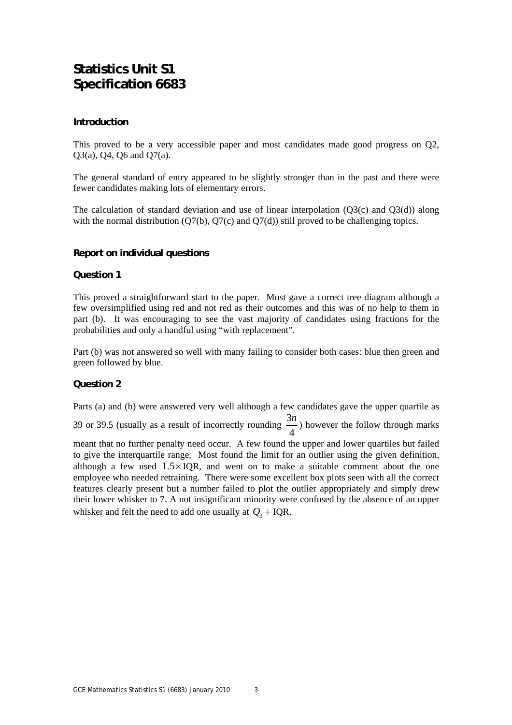### **Statistics Unit S1 Specification 6683**

#### **Introduction**

This proved to be a very accessible paper and most candidates made good progress on Q2, Q3(a), Q4, Q6 and Q7(a).

The general standard of entry appeared to be slightly stronger than in the past and there were fewer candidates making lots of elementary errors.

The calculation of standard deviation and use of linear interpolation (Q3(c) and Q3(d)) along with the normal distribution  $(Q7(b), Q7(c)$  and  $Q7(d)$ ) still proved to be challenging topics.

#### **Report on individual questions**

#### **Question 1**

This proved a straightforward start to the paper. Most gave a correct tree diagram although a few oversimplified using red and not red as their outcomes and this was of no help to them in part (b). It was encouraging to see the vast majority of candidates using fractions for the probabilities and only a handful using "with replacement".

Part (b) was not answered so well with many failing to consider both cases: blue then green and green followed by blue.

#### **Question 2**

Parts (a) and (b) were answered very well although a few candidates gave the upper quartile as 39 or 39.5 (usually as a result of incorrectly rounding  $\frac{3}{2}$ 4  $\frac{n}{n}$ ) however the follow through marks meant that no further penalty need occur. A few found the upper and lower quartiles but failed to give the interquartile range. Most found the limit for an outlier using the given definition, although a few used  $1.5 \times IQR$ , and went on to make a suitable comment about the one employee who needed retraining. There were some excellent box plots seen with all the correct features clearly present but a number failed to plot the outlier appropriately and simply drew their lower whisker to 7. A not insignificant minority were confused by the absence of an upper whisker and felt the need to add one usually at  $Q_3$  + IQR.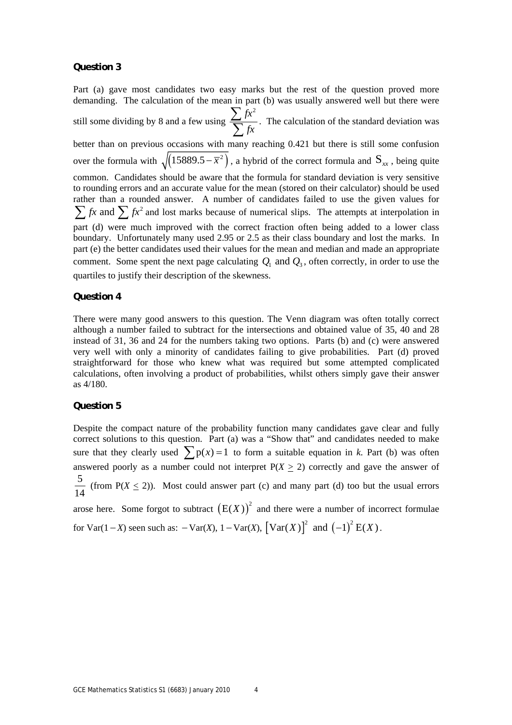#### **Question 3**

Part (a) gave most candidates two easy marks but the rest of the question proved more demanding. The calculation of the mean in part (b) was usually answered well but there were still some dividing by 8 and a few using  $fx^2$ *fx* ∑  $\sum_{n=1}^{\infty} f(x)$ . The calculation of the standard deviation was better than on previous occasions with many reaching 0.421 but there is still some confusion over the formula with  $\sqrt{(15889.5 - \overline{x}^2)}$ , a hybrid of the correct formula and  $S_{xx}$ , being quite common. Candidates should be aware that the formula for standard deviation is very sensitive to rounding errors and an accurate value for the mean (stored on their calculator) should be used rather than a rounded answer. A number of candidates failed to use the given values for  $\sum fx$  and  $\sum fx^2$  and lost marks because of numerical slips. The attempts at interpolation in part (d) were much improved with the correct fraction often being added to a lower class boundary. Unfortunately many used 2.95 or 2.5 as their class boundary and lost the marks. In part (e) the better candidates used their values for the mean and median and made an appropriate comment. Some spent the next page calculating  $Q_1$  and  $Q_2$ , often correctly, in order to use the quartiles to justify their description of the skewness.

#### **Question 4**

There were many good answers to this question. The Venn diagram was often totally correct although a number failed to subtract for the intersections and obtained value of 35, 40 and 28 instead of 31, 36 and 24 for the numbers taking two options. Parts (b) and (c) were answered very well with only a minority of candidates failing to give probabilities. Part (d) proved straightforward for those who knew what was required but some attempted complicated calculations, often involving a product of probabilities, whilst others simply gave their answer as 4/180.

#### **Question 5**

Despite the compact nature of the probability function many candidates gave clear and fully correct solutions to this question. Part (a) was a "Show that" and candidates needed to make sure that they clearly used  $\sum p(x) = 1$  to form a suitable equation in *k*. Part (b) was often answered poorly as a number could not interpret  $P(X \ge 2)$  correctly and gave the answer of 5  $\frac{1}{14}$  (from P(*X*  $\le$  2)). Most could answer part (c) and many part (d) too but the usual errors arose here. Some forgot to subtract  $(E(X))^{2}$  and there were a number of incorrect formulae for Var(1 – *X*) seen such as:  $-\text{Var}(X)$ ,  $1 - \text{Var}(X)$ ,  $[\text{Var}(X)]^2$  and  $(-1)^2 E(X)$ .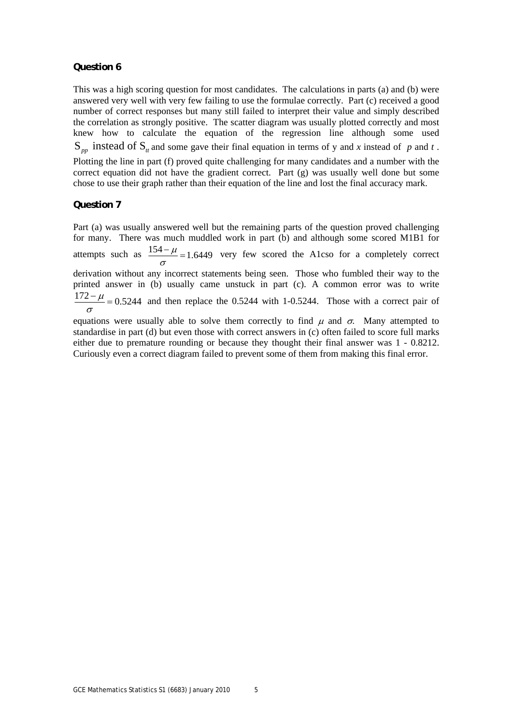#### **Question 6**

This was a high scoring question for most candidates. The calculations in parts (a) and (b) were answered very well with very few failing to use the formulae correctly. Part (c) received a good number of correct responses but many still failed to interpret their value and simply described the correlation as strongly positive. The scatter diagram was usually plotted correctly and most knew how to calculate the equation of the regression line although some used  $S_{np}$  instead of  $S_{n}$  and some gave their final equation in terms of y and *x* instead of p and t. Plotting the line in part (f) proved quite challenging for many candidates and a number with the correct equation did not have the gradient correct. Part (g) was usually well done but some chose to use their graph rather than their equation of the line and lost the final accuracy mark.

#### **Question 7**

Part (a) was usually answered well but the remaining parts of the question proved challenging for many. There was much muddled work in part (b) and although some scored M1B1 for attempts such as  $\frac{154 - \mu}{\sigma} = 1.6449$  very few scored the A1cso for a completely correct derivation without any incorrect statements being seen. Those who fumbled their way to the printed answer in (b) usually came unstuck in part (c). A common error was to write  $\frac{172 - \mu}{20.5244}$  = 0.5244 and then replace the 0.5244 with 1-0.5244. Those with a correct pair of σ equations were usually able to solve them correctly to find  $\mu$  and  $\sigma$ . Many attempted to

standardise in part (d) but even those with correct answers in (c) often failed to score full marks either due to premature rounding or because they thought their final answer was 1 - 0.8212. Curiously even a correct diagram failed to prevent some of them from making this final error.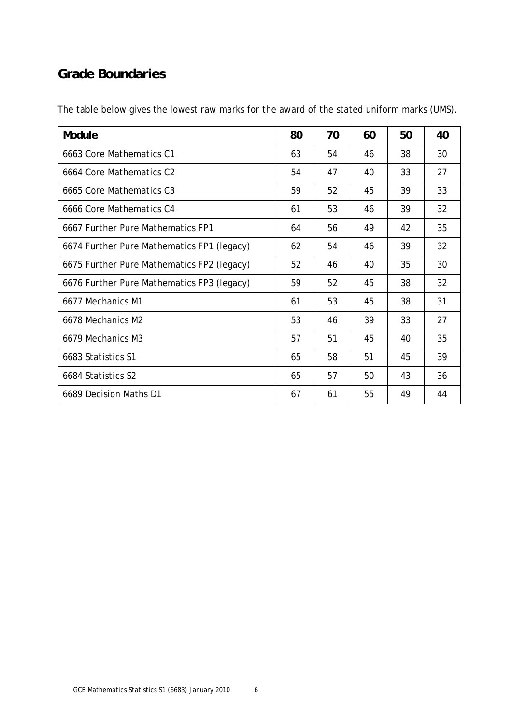## **Grade Boundaries**

| Module                                     | 80 | 70 | 60 | 50 | 40 |
|--------------------------------------------|----|----|----|----|----|
| 6663 Core Mathematics C1                   | 63 | 54 | 46 | 38 | 30 |
| 6664 Core Mathematics C2                   | 54 | 47 | 40 | 33 | 27 |
| 6665 Core Mathematics C3                   | 59 | 52 | 45 | 39 | 33 |
| 6666 Core Mathematics C4                   | 61 | 53 | 46 | 39 | 32 |
| 6667 Further Pure Mathematics FP1          | 64 | 56 | 49 | 42 | 35 |
| 6674 Further Pure Mathematics FP1 (legacy) | 62 | 54 | 46 | 39 | 32 |
| 6675 Further Pure Mathematics FP2 (legacy) | 52 | 46 | 40 | 35 | 30 |
| 6676 Further Pure Mathematics FP3 (legacy) | 59 | 52 | 45 | 38 | 32 |
| 6677 Mechanics M1                          | 61 | 53 | 45 | 38 | 31 |
| 6678 Mechanics M2                          | 53 | 46 | 39 | 33 | 27 |
| 6679 Mechanics M3                          | 57 | 51 | 45 | 40 | 35 |
| 6683 Statistics S1                         | 65 | 58 | 51 | 45 | 39 |
| 6684 Statistics S2                         | 65 | 57 | 50 | 43 | 36 |
| 6689 Decision Maths D1                     | 67 | 61 | 55 | 49 | 44 |

The table below gives the lowest raw marks for the award of the stated uniform marks (UMS).